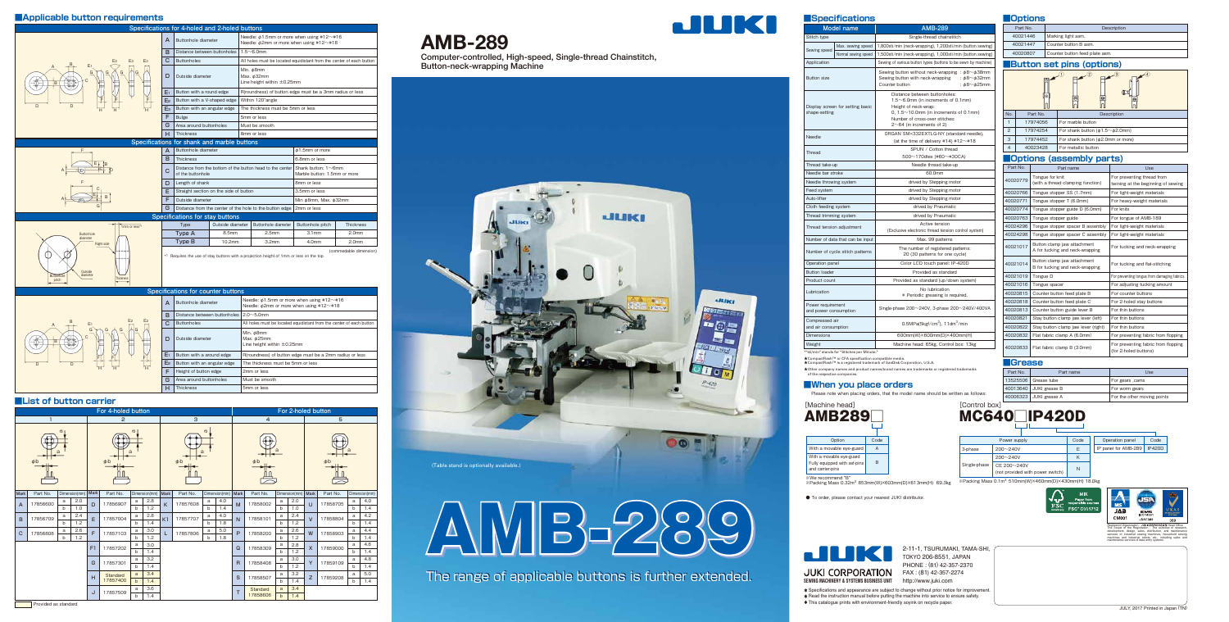# **■Applicable button requirements**

# **■List of button carrier**

Computer-controlled, High-speed, Single-thread Chainstitch, Button-neck-wrapping Machine

# **AMB-289**

# **■When you place orders**

Please note when placing orders, that the model name should be written as follows:



● To order, please contact your nearest JUKI distributor.



ik We recommend "B"<br>፠Packing Mass 0.32m<sup>3</sup> 853mm(W)×603mm(D)×613mm(H) 69.3kg <sup>※Packing Mass 0.1m<sup>3</sup> 510mm(W)×460mm(D)×430mm(H) 18.0kg</sup>



| Power supply |              |                                  | Code |  | Operation panel      | Code          |
|--------------|--------------|----------------------------------|------|--|----------------------|---------------|
| 3-phase      | $200 - 240V$ |                                  | E    |  | IP panel for AMB-289 | <b>IP420D</b> |
|              | $200 - 240V$ |                                  | K    |  |                      |               |
| Single-phase | CE 200~240V  | (not provided with power switch) | N    |  |                      |               |
| $\sim$       |              |                                  |      |  |                      |               |



|                               | For 4-holed button |              |                     |        |          |                                      |               |                |                     |              |               | For 2-holed button |                     |              |               |              |          |     |               |          |   |     |
|-------------------------------|--------------------|--------------|---------------------|--------|----------|--------------------------------------|---------------|----------------|---------------------|--------------|---------------|--------------------|---------------------|--------------|---------------|--------------|----------|-----|---------------|----------|---|-----|
| 1                             |                    |              |                     | 2      |          |                                      |               | 3              |                     |              |               | $\overline{4}$     |                     |              |               | 5            |          |     |               |          |   |     |
| ω<br>а<br>$\phi$ <sub>b</sub> |                    |              | $\phi$ <sub>b</sub> | Б<br>a |          | $\omega$<br>a<br>$\phi$ <sub>b</sub> |               |                | $\phi$ <sub>b</sub> |              |               |                    | $\phi$ <sub>b</sub> |              |               |              |          |     |               |          |   |     |
| Mark                          | Part No.           |              | Dimension(mm)       | Mark   | Part No. |                                      | Dimension(mm) | Mark           | Part No.            |              | Dimension(mm) | Mark               | Part No.            |              | Dimension(mm) | Mark         | Part No. |     | Dimension(mm) |          |   |     |
| $\overline{A}$                | 17856600           | a            | 2.0                 | D      | 17856907 | a                                    | 2.8           | K              | 17857608            | a            | 4.0           | M                  | 17858002            | a            | 2.0           | U            | 17858705 | a   | 4.0           |          |   |     |
|                               |                    | b            | 1.0                 |        |          | $\mathsf{b}$                         | 1.2           |                |                     | $\mathsf{b}$ | 1.4           |                    |                     | b            | 1.0           |              |          | b   | 1.4           |          |   |     |
| B                             | 17856709           | a            | 2.4                 | E      | 17857004 | a                                    | 2.8           | K <sub>1</sub> | 17857707            | a            | 4.0           | $\mathsf{N}$       | 17858101            | a            | 2.4           | $\mathsf{V}$ | 17858804 | a   | 4.2           |          |   |     |
|                               |                    | $\mathsf{h}$ | 1.2                 |        |          | $b$                                  | 1.4           |                |                     | $\mathsf{b}$ | 1.8           |                    |                     | $\mathbf b$  | 1.2           |              |          | b   | 1.4           |          |   |     |
| C                             | 17856808           | a            | 2.6                 | F      | 17857103 | a                                    | 3.0           | L              | 17857806            | a            | 5.0           | P                  | 17858200            | a            | 2.6           | W            | 17858903 | a   | 4.4           |          |   |     |
|                               |                    | b            | 1.2                 |        |          | h                                    | 1.2           |                |                     | b            | 1.8           |                    |                     | b            | 1.2           |              |          | b   | 1.4           |          |   |     |
|                               |                    |              |                     | F1     | 17857202 |                                      | 3.0           |                |                     |              |               | Q                  | 17858309            | a            | 2.8           | $\mathsf{X}$ | 17859000 | a   | 4.6           |          |   |     |
|                               |                    |              |                     |        |          | h                                    | 1.4           |                |                     |              |               |                    |                     | b            | 1.2           |              |          | b   | 1.4           |          |   |     |
|                               |                    |              |                     | G      | 17857301 | a                                    | 3.2           |                |                     |              |               | $\mathsf{R}$       | 17858408            | a            | 3.0           | Y            | 17859109 | a   | 4.8           |          |   |     |
|                               |                    |              |                     |        |          | $\mathsf{h}$                         | 1.4           |                |                     |              |               |                    |                     | $\mathsf{b}$ | 1.2           |              |          | b   | 1.4           |          |   |     |
|                               |                    |              |                     | H      |          |                                      |               | Standard       | a                   | 3.4          |               |                    |                     |              | S             | 17858507     | a        | 3.2 | Z             | 17859208 | a | 5.0 |
|                               |                    |              |                     |        | 17857400 |                                      | 1.4           |                |                     |              |               |                    |                     |              | b             | 1.4          |          |     | b             | 1.4      |   |     |
|                               |                    |              |                     | J      | 17857509 | a                                    | 3.6           |                |                     |              |               | T.                 | Standard            | a            | 3.4           |              |          |     |               |          |   |     |
|                               |                    |              |                     |        |          | 1.4<br>$\mathsf{h}$                  |               |                |                     |              |               |                    | 17858606            | $\mathsf{b}$ | 1.4           |              |          |     |               |          |   |     |

# **Provided as standard**

| Specifications for 4-holed and 2-holed buttons          |                |                                                                                                                   |                  |                                                                                                  |                                                             |                   |  |  |  |
|---------------------------------------------------------|----------------|-------------------------------------------------------------------------------------------------------------------|------------------|--------------------------------------------------------------------------------------------------|-------------------------------------------------------------|-------------------|--|--|--|
|                                                         | A              | Buttonhole diameter                                                                                               |                  | Needle: $\phi$ 1.5mm or more when using #12~#16<br>Needle: $\phi$ 2mm or more when using #12~#18 |                                                             |                   |  |  |  |
| E <sub>3</sub><br>E <sub>3</sub><br>E <sub>2</sub>      | в              | Distance between buttonholes                                                                                      |                  | $1.5 - 6.0$ mm                                                                                   |                                                             |                   |  |  |  |
|                                                         | C              | All holes must be located equidistant from the center of each button<br><b>Buttonholes</b>                        |                  |                                                                                                  |                                                             |                   |  |  |  |
| E <sub>1</sub><br>$\phi$ $\phi$<br>B<br>$0+0$           | D              | Min. ¢8mm<br>Max. $\phi$ 32mm<br>Outside diameter<br>Line height within $\pm 0.25$ mm                             |                  |                                                                                                  |                                                             |                   |  |  |  |
|                                                         | E۱             | Button with a round edge                                                                                          |                  |                                                                                                  | R(roundness) of button edge must be a 3mm radius or less    |                   |  |  |  |
|                                                         | E <sub>2</sub> | Button with a V-shaped edge                                                                                       |                  | Within 120° angle                                                                                |                                                             |                   |  |  |  |
| D<br>D                                                  | Eз             | Button with an angular edge                                                                                       |                  | The thickness must be 5mm or less                                                                |                                                             |                   |  |  |  |
|                                                         | F.             | <b>Bulge</b>                                                                                                      |                  | 5mm or less                                                                                      |                                                             |                   |  |  |  |
|                                                         | G              | Area around buttonholes                                                                                           |                  | Must be smooth                                                                                   |                                                             |                   |  |  |  |
|                                                         | н              | Thickness                                                                                                         |                  | 8mm or less                                                                                      |                                                             |                   |  |  |  |
|                                                         |                | Specifications for shank and marble buttons                                                                       |                  |                                                                                                  |                                                             |                   |  |  |  |
| F                                                       | A              | Buttonhole diameter                                                                                               |                  |                                                                                                  | $\phi$ 1.5mm or more                                        |                   |  |  |  |
|                                                         | в              | Thickness                                                                                                         |                  |                                                                                                  | 6.8mm or less                                               |                   |  |  |  |
|                                                         |                | Distance from the bottom of the button head to the center<br>C<br>of the buttonhole                               |                  |                                                                                                  | Shank button: $1 \sim 6$ mm<br>Marble button: 1.5mm or more |                   |  |  |  |
|                                                         |                | D<br>Length of shank                                                                                              |                  |                                                                                                  | 8mm or less                                                 |                   |  |  |  |
|                                                         |                | E<br>Straight section on the side of button                                                                       |                  |                                                                                                  | 3.5mm or less                                               |                   |  |  |  |
|                                                         | F              | Outside diameter                                                                                                  |                  |                                                                                                  | Min ø8mm, Max. ø32mm                                        |                   |  |  |  |
|                                                         | G              | Distance from the center of the hole to the button edge<br>2mm or less                                            |                  |                                                                                                  |                                                             |                   |  |  |  |
|                                                         |                | Specifications for stay buttons                                                                                   |                  |                                                                                                  |                                                             |                   |  |  |  |
| 1mm or less*1                                           |                | Type                                                                                                              | Outside diameter | Buttonhole diameter                                                                              | Buttonhole pitch                                            | <b>Thickness</b>  |  |  |  |
| <b>Buttonhole</b><br>diameter                           |                | Type A                                                                                                            | 8.5mm            | 2.5 <sub>mm</sub>                                                                                | 3.1 <sub>mm</sub>                                           | 2.0 <sub>mm</sub> |  |  |  |
| <b>Right side</b>                                       |                | Type B                                                                                                            | 10.2mm           | 3.2 <sub>mm</sub>                                                                                | 4.0mm                                                       | 2.0 <sub>mm</sub> |  |  |  |
| Outside<br>diameter<br>Buttonhole<br>Thickness<br>pitch |                | (commedable dimension)<br>*1 Requires the use of stay buttons with a projection height of 1mm or less on the top. |                  |                                                                                                  |                                                             |                   |  |  |  |
| Specifications for counter buttons                      |                |                                                                                                                   |                  |                                                                                                  |                                                             |                   |  |  |  |
|                                                         | A              | Buttonhole diameter                                                                                               |                  | Needle: $\phi$ 1.5mm or more when using #12~#16<br>Needle: $\phi$ 2mm or more when using #12~#18 |                                                             |                   |  |  |  |
|                                                         | B              | Distance between buttonholes                                                                                      |                  | $2.0 \sim 5.0$ mm                                                                                |                                                             |                   |  |  |  |
| E <sub>2</sub>                                          | C              | <b>Buttonholes</b>                                                                                                |                  | All holes must be located equidistant from the center of each button                             |                                                             |                   |  |  |  |
| $\mathsf{G}$<br>$G \wedge$<br>G<br>G                    |                | $M_{\text{in}}$ $\pm$ Omm                                                                                         |                  |                                                                                                  |                                                             |                   |  |  |  |

| Specifications for counter buttons    |                |                                                |                                                                                                                |  |  |  |  |  |  |
|---------------------------------------|----------------|------------------------------------------------|----------------------------------------------------------------------------------------------------------------|--|--|--|--|--|--|
|                                       | A              | Buttonhole diameter                            | Needle: $\phi$ 1.5mm or more when using #12 $\sim$ #16<br>Needle: $\phi$ 2mm or more when using #12 $\sim$ #18 |  |  |  |  |  |  |
|                                       | B              | Distance between buttonholes $2.0 \sim 5.0$ mm |                                                                                                                |  |  |  |  |  |  |
| E <sub>2</sub><br>E<br>$\overline{A}$ | C              | <b>Buttonholes</b>                             | All holes must be located equidistant from the center of each button                                           |  |  |  |  |  |  |
| G<br>G<br>G<br>C<br>$0 + 0 -$<br>B    | D              | Outside diameter                               | Min. ¢8mm<br>Мах. ¢25mm<br>Line height within $\pm 0.25$ mm                                                    |  |  |  |  |  |  |
| F                                     | E              | Button with a around edge                      | R(roundness) of button edge must be a 2mm radius or less                                                       |  |  |  |  |  |  |
| D.<br>D                               | E <sub>2</sub> | Button with an angular edge                    | The thickness must be 5mm or less                                                                              |  |  |  |  |  |  |
| H<br>H<br>Н                           | F              | Height of button edge                          | 2mm or less                                                                                                    |  |  |  |  |  |  |
|                                       | G              | Area around buttonholes                        | Must be smooth                                                                                                 |  |  |  |  |  |  |
|                                       | н              | Thickness                                      | 5mm or less                                                                                                    |  |  |  |  |  |  |

| Part No. | Description                    |
|----------|--------------------------------|
| 40021446 | Marking light asm.             |
| 40021447 | Counter button B asm.          |
| 40020807 | Counter button feed plate asm. |

|                                                   | <b>Specifications</b>            |                                                                                                                                                                                           |                      |                      | <b>Options</b>           |  |
|---------------------------------------------------|----------------------------------|-------------------------------------------------------------------------------------------------------------------------------------------------------------------------------------------|----------------------|----------------------|--------------------------|--|
|                                                   | <b>Model name</b>                | <b>AMB-289</b>                                                                                                                                                                            |                      | Part No.             |                          |  |
| Stitch type                                       |                                  | Single-thread chainstitch                                                                                                                                                                 |                      | 40021446             |                          |  |
|                                                   | Max. sewing speed                | 1,800sti/min (neck-wrapping), 1,200sti/min (button sewing)                                                                                                                                |                      | 40021447             |                          |  |
| Sewing speed<br>Normal sewing speed               |                                  | 1,500sti/min (neck-wrapping), 1,000sti/min (button sewing)                                                                                                                                |                      | 40020807             |                          |  |
| Application                                       |                                  | Sewing of various button types (buttons to be sewn by machine)                                                                                                                            |                      |                      | <b>IButton s</b>         |  |
| <b>Button size</b>                                |                                  | Sewing button without neck-wrapping : $\phi$ 8~ $\phi$ 38mm<br>Sewing button with neck-wrapping<br>: $\phi$ 8~ $\phi$ 32mm<br>Counter button<br>: $\phi$ 8~ $\phi$ 25mm                   |                      |                      |                          |  |
| Display screen for setting basic<br>shape-setting |                                  | Distance between buttonholes:<br>$1.5 \sim 6.0$ mm (in increments of 0.1 mm)<br>Height of neck-wrap:<br>0, $1.5 \sim 10.0$ mm (in increments of 0.1 mm)<br>Number of cross-over stitches: | No.<br>Part No.      |                      |                          |  |
|                                                   |                                  | $2~64$ (in increments of 2)                                                                                                                                                               | $\mathbf{1}$         |                      | 17974056                 |  |
|                                                   |                                  | ORGAN SM×332EXTLG-NY (standard needle),                                                                                                                                                   | 2                    |                      | 17974254                 |  |
| Needle                                            |                                  | (at the time of delivery #14) #12 $\sim$ #18                                                                                                                                              | 3                    | 17974452             |                          |  |
| Thread                                            |                                  | SPUN / Cotton thread                                                                                                                                                                      | $\overline{4}$       | 40023428             |                          |  |
|                                                   |                                  | $500 \sim 170$ dtex (#60~#30CA)                                                                                                                                                           |                      | <b>Options</b>       |                          |  |
| Thread take-up                                    |                                  | Needle thread take-up                                                                                                                                                                     |                      | Part No.             |                          |  |
| Needle bar stroke                                 |                                  | 60.0mm                                                                                                                                                                                    |                      |                      | Tongu                    |  |
| Needle throwing system                            |                                  | drived by Stepping motor                                                                                                                                                                  | 40020779             |                      | (with a                  |  |
| Feed system                                       |                                  | drived by Stepping motor                                                                                                                                                                  | 40020766             | Tongu                |                          |  |
| Auto-lifter                                       |                                  | drived by Stepping motor                                                                                                                                                                  | 40020771             |                      | Tongu                    |  |
| Cloth feeding system                              |                                  | drived by Pneumatic                                                                                                                                                                       | 40020774             | Tongu                |                          |  |
| Thread trimming system                            |                                  | drived by Pneumatic                                                                                                                                                                       |                      | 40020763             | Tongu                    |  |
| Thread tension adjustment                         |                                  | Active tension<br>(Exclusive electronic thread tension control system)                                                                                                                    | 40024296<br>40024298 |                      | Tongu                    |  |
|                                                   | Number of data that can be input | Max. 99 patterns                                                                                                                                                                          |                      |                      | Tongu                    |  |
|                                                   | Number of cycle stitch patterns  | The number of registered patterns:<br>20 (30 patterns for one cycle)                                                                                                                      |                      | 40021017             | <b>Button</b><br>A for t |  |
| Operation panel                                   |                                  | Color LCD touch panel: IP-420D                                                                                                                                                            |                      | 40021014             | <b>Button</b>            |  |
| <b>Button loader</b>                              |                                  | Provided as standard                                                                                                                                                                      |                      |                      | B for t                  |  |
| Product count                                     |                                  | Provided as standard (up/down system)                                                                                                                                                     |                      | 40021019             | Tongu                    |  |
|                                                   |                                  | No lubrication                                                                                                                                                                            |                      | 40021016             | Tongu                    |  |
| Lubrication                                       |                                  | * Periodic greasing is required.                                                                                                                                                          |                      | 40020815             | Counte                   |  |
| Power requirement<br>and power consumption        |                                  | Single-phase 200~240V, 3-phase 200~240V/400VA                                                                                                                                             |                      | 40020818<br>40020813 | Counte<br>Counte         |  |
| Compressed air                                    |                                  |                                                                                                                                                                                           |                      | 40020821             | Stay b                   |  |
| and air consumption                               |                                  | 0.5MPa(5kgf/cm <sup>2</sup> ), 11dm <sup>3</sup> /min                                                                                                                                     |                      | 40020822             | Stay b                   |  |
| <b>Dimensions</b>                                 |                                  | 600mm(W)×600mm(D)×400mm(H)                                                                                                                                                                |                      | 40020832             | Flat fa                  |  |
| Weight                                            |                                  | Machine head: 65kg, Control box: 13kg                                                                                                                                                     |                      | 40020833             |                          |  |
|                                                   |                                  |                                                                                                                                                                                           |                      |                      | Flat fa                  |  |

"sti/min" stands for "Stitches per Minute.

| Part No. | Part name                                                      | Use                                                              |
|----------|----------------------------------------------------------------|------------------------------------------------------------------|
| 40020779 | Tongue for knit<br>(with a thread clamping function)           | For preventing thread from<br>twining at the beginning of sewing |
| 40020766 | Tongue stopper SS (1.7mm)                                      | For light-weight materials                                       |
| 40020771 | Tongue stopper T (6.0mm)                                       | For heavy-weight materials                                       |
| 40020774 | Tongue stopper guide D (6.0mm)                                 | For knits                                                        |
| 40020763 | Tongue stopper guide                                           | For tongue of AMB-189                                            |
| 40024296 | Tongue stopper spacer B assembly                               | For light-weight materials                                       |
| 40024298 | Tongue stopper spacer C assembly                               | For light-weight materials                                       |
| 40021017 | Button clamp jaw attachment<br>A for tucking and neck-wrapping | For tucking and neck-wrapping                                    |
| 40021014 | Button clamp jaw attachment<br>B for tucking and neck-wrapping | For tucking and flat-stitching                                   |
| 40021019 | Tongue D                                                       | For preventing tongue from damaging fabrics                      |
| 40021016 | Tongue spacer                                                  | For adjusting tucking amount                                     |
| 40020815 | Counter button feed plate B                                    | For counter buttons                                              |
| 40020818 | Counter button feed plate C                                    | For 2-holed stay buttons                                         |
| 40020813 | Counter button guide lever B                                   | For thin buttons                                                 |
| 40020821 | Stay button clamp jaw lever (left)                             | For thin buttons                                                 |
| 40020822 | Stay button clamp jaw lever (right)                            | For thin buttons                                                 |
| 40020832 | Flat fabric clamp A (6.0mm)                                    | For preventing fabric from flopping                              |
| 40020833 | Flat fabric clamp B (3.0mm)                                    | For preventing fabric from flopping<br>(for 2-holed buttons)     |

# **■Options (assembly parts)**

### **■Grease**

# **■Button set pins (options)**

The range of applicable buttons is further extended. The range of applicable buttons is further extended.



|                | ⊚        | (2)<br>(3)<br>$\overline{\Theta}$            |  |  |  |  |  |  |  |
|----------------|----------|----------------------------------------------|--|--|--|--|--|--|--|
| No.            | Part No. | Description                                  |  |  |  |  |  |  |  |
|                | 17974056 | For marble button                            |  |  |  |  |  |  |  |
| $\overline{2}$ | 17974254 | For shank button ( $\phi$ 1.5~ $\phi$ 2.0mm) |  |  |  |  |  |  |  |
| 3              | 17974452 | For shank button $(\phi 2.0$ mm or more)     |  |  |  |  |  |  |  |
| $\overline{4}$ | 40023428 | For metallic button                          |  |  |  |  |  |  |  |
|                |          |                                              |  |  |  |  |  |  |  |



| Part No. | Part name              | Use                         |
|----------|------------------------|-----------------------------|
|          | 13525506 Grease tube   | For gears , cams            |
|          | 40013640 JUKI grease B | For worm gears              |
|          | 40006323 JUKI grease A | For the other moving points |

★ ★ CompactFlash™ or CFA specification compatible media. CompactFlash™ is a registered trademark of SanDisk Corporation, U.S.A.

★Other company names and product names/brand names are trademarks or registered trademarks of the respective companies.

2-11-1, TSURUMAKI, TAMA-SHI, TOKYO 206-8551, JAPAN PHONE : (81) 42-357-2370

Specifications and appearance are subject to change without prior notice for improvement. \* Read the instruction manual before putting the machine into service to ensure safety. This catalogue prints with environment-friendly soyink on recycle paper.





The Scope of the Registration : The activities of research, development, design, sales, distribution, and maintenance services of industrial sewing machines, household sewing machines and industrial robots, etc., including sales and maintenance services of data entry systems.